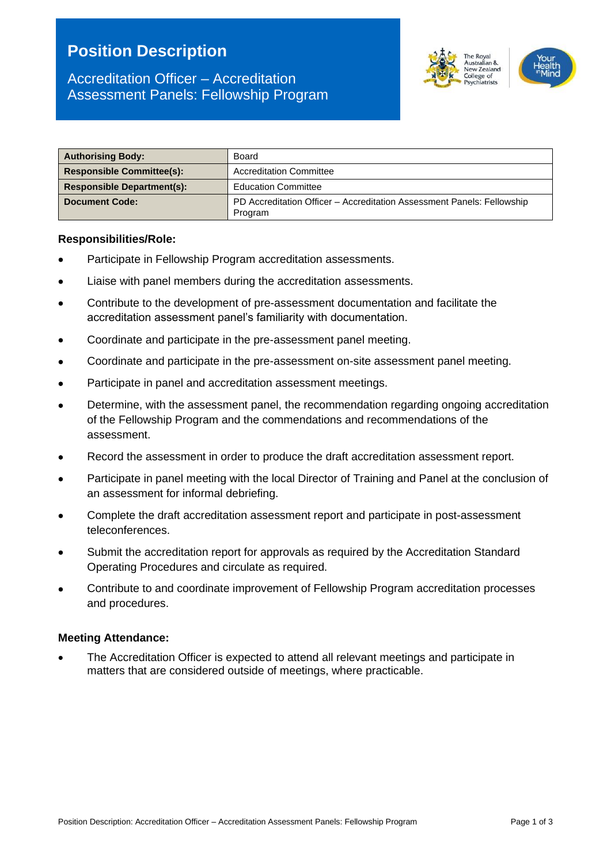# **Position Description**



| <b>Authorising Body:</b>          | Board                                                                             |  |
|-----------------------------------|-----------------------------------------------------------------------------------|--|
| <b>Responsible Committee(s):</b>  | <b>Accreditation Committee</b>                                                    |  |
| <b>Responsible Department(s):</b> | <b>Education Committee</b>                                                        |  |
| <b>Document Code:</b>             | PD Accreditation Officer – Accreditation Assessment Panels: Fellowship<br>Program |  |

#### **Responsibilities/Role:**

- Participate in Fellowship Program accreditation assessments.
- Liaise with panel members during the accreditation assessments.
- Contribute to the development of pre-assessment documentation and facilitate the accreditation assessment panel's familiarity with documentation.
- Coordinate and participate in the pre-assessment panel meeting.
- Coordinate and participate in the pre-assessment on-site assessment panel meeting.
- Participate in panel and accreditation assessment meetings.
- Determine, with the assessment panel, the recommendation regarding ongoing accreditation of the Fellowship Program and the commendations and recommendations of the assessment.
- Record the assessment in order to produce the draft accreditation assessment report.
- Participate in panel meeting with the local Director of Training and Panel at the conclusion of an assessment for informal debriefing.
- Complete the draft accreditation assessment report and participate in post-assessment teleconferences.
- Submit the accreditation report for approvals as required by the Accreditation Standard Operating Procedures and circulate as required.
- Contribute to and coordinate improvement of Fellowship Program accreditation processes and procedures.

#### **Meeting Attendance:**

• The Accreditation Officer is expected to attend all relevant meetings and participate in matters that are considered outside of meetings, where practicable.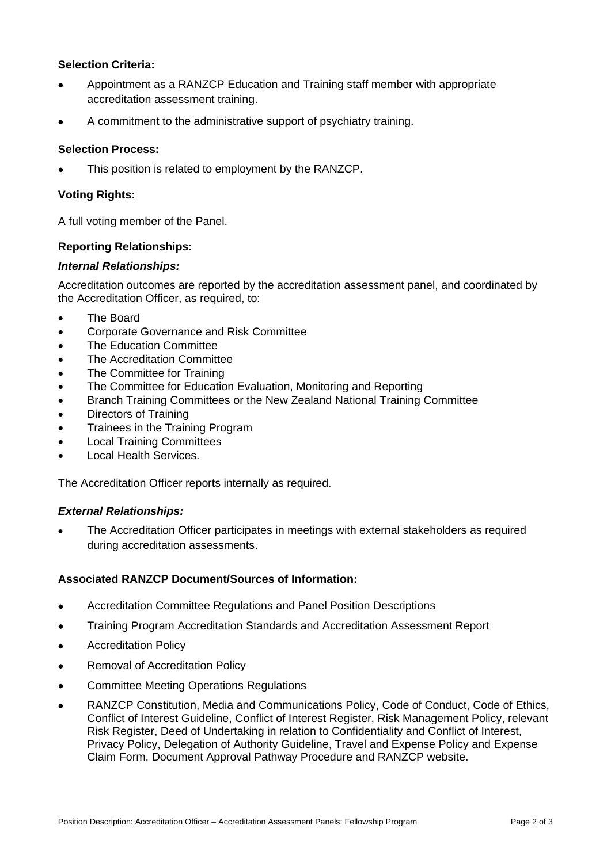## **Selection Criteria:**

- Appointment as a RANZCP Education and Training staff member with appropriate accreditation assessment training.
- A commitment to the administrative support of psychiatry training.

## **Selection Process:**

This position is related to employment by the RANZCP.

## **Voting Rights:**

A full voting member of the Panel.

## **Reporting Relationships:**

## *Internal Relationships:*

Accreditation outcomes are reported by the accreditation assessment panel, and coordinated by the Accreditation Officer, as required, to:

- The Board
- Corporate Governance and Risk Committee
- The Education Committee
- The Accreditation Committee
- The Committee for Training
- The Committee for Education Evaluation, Monitoring and Reporting
- Branch Training Committees or the New Zealand National Training Committee
- Directors of Training
- Trainees in the Training Program
- Local Training Committees
- Local Health Services.

The Accreditation Officer reports internally as required.

## *External Relationships:*

• The Accreditation Officer participates in meetings with external stakeholders as required during accreditation assessments.

## **Associated RANZCP Document/Sources of Information:**

- Accreditation Committee Regulations and Panel Position Descriptions
- Training Program Accreditation Standards and Accreditation Assessment Report
- Accreditation Policy
- Removal of Accreditation Policy
- Committee Meeting Operations Regulations
- RANZCP Constitution, Media and Communications Policy, Code of Conduct, Code of Ethics, Conflict of Interest Guideline, Conflict of Interest Register, Risk Management Policy, relevant Risk Register, Deed of Undertaking in relation to Confidentiality and Conflict of Interest, Privacy Policy, Delegation of Authority Guideline, Travel and Expense Policy and Expense Claim Form, Document Approval Pathway Procedure and RANZCP website.